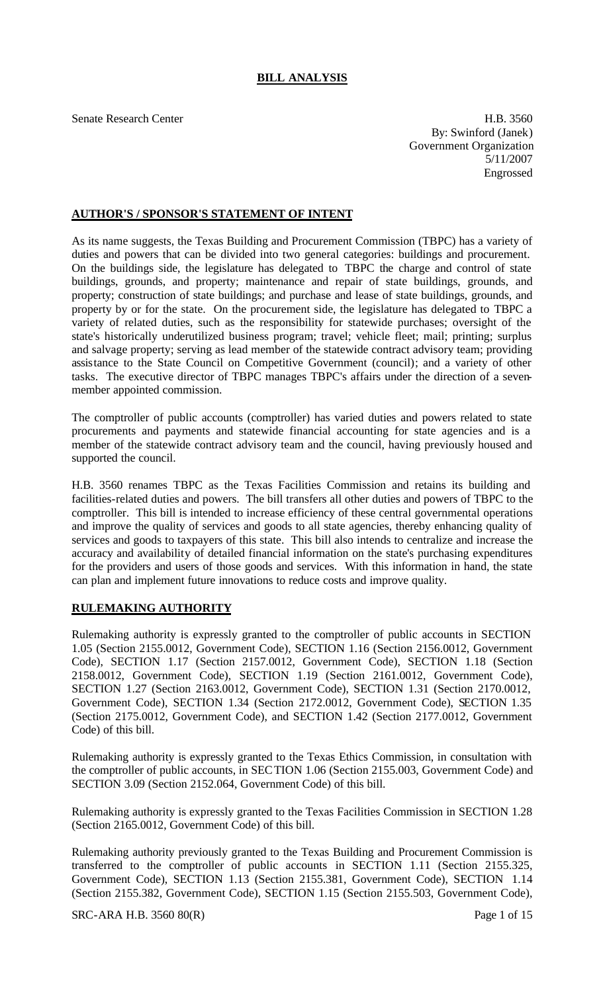# **BILL ANALYSIS**

Senate Research Center **H.B. 3560** By: Swinford (Janek) Government Organization 5/11/2007 Engrossed

### **AUTHOR'S / SPONSOR'S STATEMENT OF INTENT**

As its name suggests, the Texas Building and Procurement Commission (TBPC) has a variety of duties and powers that can be divided into two general categories: buildings and procurement. On the buildings side, the legislature has delegated to TBPC the charge and control of state buildings, grounds, and property; maintenance and repair of state buildings, grounds, and property; construction of state buildings; and purchase and lease of state buildings, grounds, and property by or for the state. On the procurement side, the legislature has delegated to TBPC a variety of related duties, such as the responsibility for statewide purchases; oversight of the state's historically underutilized business program; travel; vehicle fleet; mail; printing; surplus and salvage property; serving as lead member of the statewide contract advisory team; providing assistance to the State Council on Competitive Government (council); and a variety of other tasks. The executive director of TBPC manages TBPC's affairs under the direction of a sevenmember appointed commission.

The comptroller of public accounts (comptroller) has varied duties and powers related to state procurements and payments and statewide financial accounting for state agencies and is a member of the statewide contract advisory team and the council, having previously housed and supported the council.

H.B. 3560 renames TBPC as the Texas Facilities Commission and retains its building and facilities-related duties and powers. The bill transfers all other duties and powers of TBPC to the comptroller. This bill is intended to increase efficiency of these central governmental operations and improve the quality of services and goods to all state agencies, thereby enhancing quality of services and goods to taxpayers of this state. This bill also intends to centralize and increase the accuracy and availability of detailed financial information on the state's purchasing expenditures for the providers and users of those goods and services. With this information in hand, the state can plan and implement future innovations to reduce costs and improve quality.

# **RULEMAKING AUTHORITY**

Rulemaking authority is expressly granted to the comptroller of public accounts in SECTION 1.05 (Section 2155.0012, Government Code), SECTION 1.16 (Section 2156.0012, Government Code), SECTION 1.17 (Section 2157.0012, Government Code), SECTION 1.18 (Section 2158.0012, Government Code), SECTION 1.19 (Section 2161.0012, Government Code), SECTION 1.27 (Section 2163.0012, Government Code), SECTION 1.31 (Section 2170.0012, Government Code), SECTION 1.34 (Section 2172.0012, Government Code), SECTION 1.35 (Section 2175.0012, Government Code), and SECTION 1.42 (Section 2177.0012, Government Code) of this bill.

Rulemaking authority is expressly granted to the Texas Ethics Commission, in consultation with the comptroller of public accounts, in SECTION 1.06 (Section 2155.003, Government Code) and SECTION 3.09 (Section 2152.064, Government Code) of this bill.

Rulemaking authority is expressly granted to the Texas Facilities Commission in SECTION 1.28 (Section 2165.0012, Government Code) of this bill.

Rulemaking authority previously granted to the Texas Building and Procurement Commission is transferred to the comptroller of public accounts in SECTION 1.11 (Section 2155.325, Government Code), SECTION 1.13 (Section 2155.381, Government Code), SECTION 1.14 (Section 2155.382, Government Code), SECTION 1.15 (Section 2155.503, Government Code),

SRC-ARA H.B. 3560 80(R) Page 1 of 15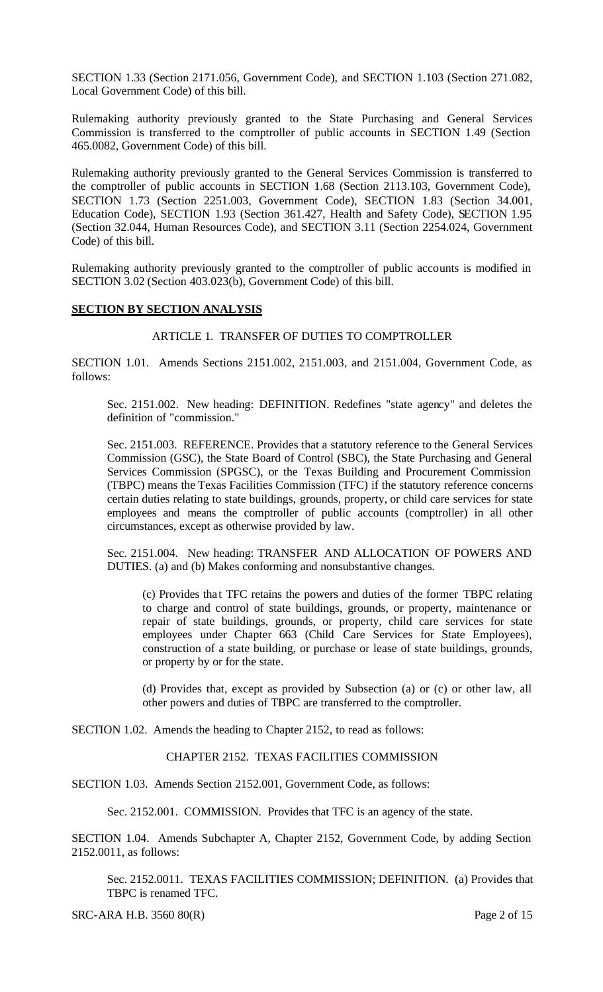SECTION 1.33 (Section 2171.056, Government Code), and SECTION 1.103 (Section 271.082, Local Government Code) of this bill.

Rulemaking authority previously granted to the State Purchasing and General Services Commission is transferred to the comptroller of public accounts in SECTION 1.49 (Section 465.0082, Government Code) of this bill.

Rulemaking authority previously granted to the General Services Commission is transferred to the comptroller of public accounts in SECTION 1.68 (Section 2113.103, Government Code), SECTION 1.73 (Section 2251.003, Government Code), SECTION 1.83 (Section 34.001, Education Code), SECTION 1.93 (Section 361.427, Health and Safety Code), SECTION 1.95 (Section 32.044, Human Resources Code), and SECTION 3.11 (Section 2254.024, Government Code) of this bill.

Rulemaking authority previously granted to the comptroller of public accounts is modified in SECTION 3.02 (Section 403.023(b), Government Code) of this bill.

# **SECTION BY SECTION ANALYSIS**

#### ARTICLE 1. TRANSFER OF DUTIES TO COMPTROLLER

SECTION 1.01. Amends Sections 2151.002, 2151.003, and 2151.004, Government Code, as follows:

Sec. 2151.002. New heading: DEFINITION. Redefines "state agency" and deletes the definition of "commission."

Sec. 2151.003. REFERENCE. Provides that a statutory reference to the General Services Commission (GSC), the State Board of Control (SBC), the State Purchasing and General Services Commission (SPGSC), or the Texas Building and Procurement Commission (TBPC) means the Texas Facilities Commission (TFC) if the statutory reference concerns certain duties relating to state buildings, grounds, property, or child care services for state employees and means the comptroller of public accounts (comptroller) in all other circumstances, except as otherwise provided by law.

Sec. 2151.004. New heading: TRANSFER AND ALLOCATION OF POWERS AND DUTIES. (a) and (b) Makes conforming and nonsubstantive changes.

(c) Provides tha t TFC retains the powers and duties of the former TBPC relating to charge and control of state buildings, grounds, or property, maintenance or repair of state buildings, grounds, or property, child care services for state employees under Chapter 663 (Child Care Services for State Employees), construction of a state building, or purchase or lease of state buildings, grounds, or property by or for the state.

(d) Provides that, except as provided by Subsection (a) or (c) or other law, all other powers and duties of TBPC are transferred to the comptroller.

SECTION 1.02. Amends the heading to Chapter 2152, to read as follows:

#### CHAPTER 2152. TEXAS FACILITIES COMMISSION

SECTION 1.03. Amends Section 2152.001, Government Code, as follows:

Sec. 2152.001. COMMISSION. Provides that TFC is an agency of the state.

SECTION 1.04. Amends Subchapter A, Chapter 2152, Government Code, by adding Section 2152.0011, as follows:

Sec. 2152.0011. TEXAS FACILITIES COMMISSION; DEFINITION. (a) Provides that TBPC is renamed TFC.

SRC-ARA H.B. 3560 80(R) Page 2 of 15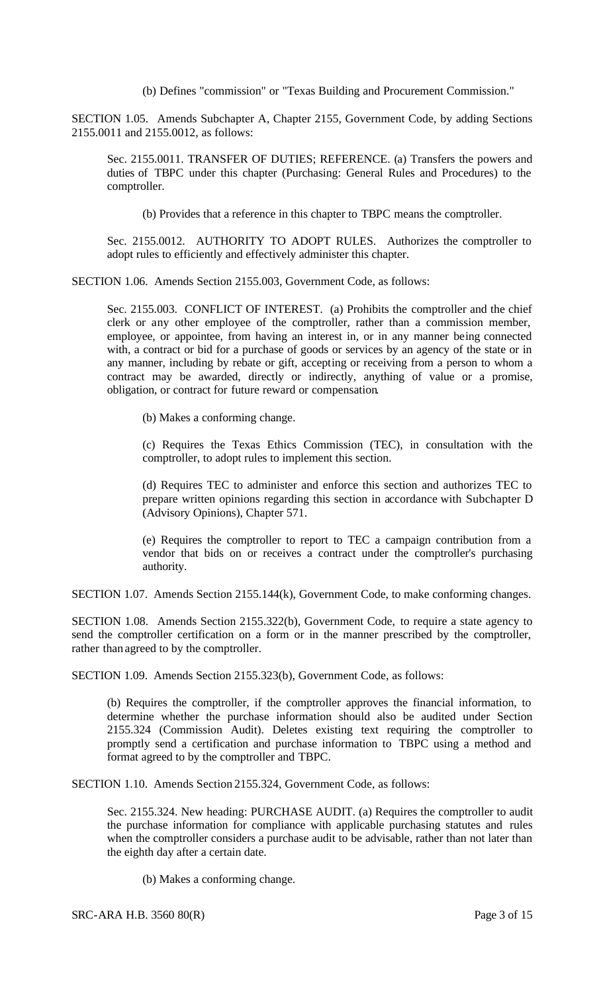(b) Defines "commission" or "Texas Building and Procurement Commission."

SECTION 1.05. Amends Subchapter A, Chapter 2155, Government Code, by adding Sections 2155.0011 and 2155.0012, as follows:

Sec. 2155.0011. TRANSFER OF DUTIES; REFERENCE. (a) Transfers the powers and duties of TBPC under this chapter (Purchasing: General Rules and Procedures) to the comptroller.

(b) Provides that a reference in this chapter to TBPC means the comptroller.

Sec. 2155.0012. AUTHORITY TO ADOPT RULES. Authorizes the comptroller to adopt rules to efficiently and effectively administer this chapter.

SECTION 1.06. Amends Section 2155.003, Government Code, as follows:

Sec. 2155.003. CONFLICT OF INTEREST. (a) Prohibits the comptroller and the chief clerk or any other employee of the comptroller, rather than a commission member, employee, or appointee, from having an interest in, or in any manner being connected with, a contract or bid for a purchase of goods or services by an agency of the state or in any manner, including by rebate or gift, accepting or receiving from a person to whom a contract may be awarded, directly or indirectly, anything of value or a promise, obligation, or contract for future reward or compensation.

(b) Makes a conforming change.

(c) Requires the Texas Ethics Commission (TEC), in consultation with the comptroller, to adopt rules to implement this section.

(d) Requires TEC to administer and enforce this section and authorizes TEC to prepare written opinions regarding this section in accordance with Subchapter D (Advisory Opinions), Chapter 571.

(e) Requires the comptroller to report to TEC a campaign contribution from a vendor that bids on or receives a contract under the comptroller's purchasing authority.

SECTION 1.07. Amends Section 2155.144(k), Government Code, to make conforming changes.

SECTION 1.08. Amends Section 2155.322(b), Government Code, to require a state agency to send the comptroller certification on a form or in the manner prescribed by the comptroller, rather than agreed to by the comptroller.

SECTION 1.09. Amends Section 2155.323(b), Government Code, as follows:

(b) Requires the comptroller, if the comptroller approves the financial information, to determine whether the purchase information should also be audited under Section 2155.324 (Commission Audit). Deletes existing text requiring the comptroller to promptly send a certification and purchase information to TBPC using a method and format agreed to by the comptroller and TBPC.

SECTION 1.10. Amends Section 2155.324, Government Code, as follows:

Sec. 2155.324. New heading: PURCHASE AUDIT. (a) Requires the comptroller to audit the purchase information for compliance with applicable purchasing statutes and rules when the comptroller considers a purchase audit to be advisable, rather than not later than the eighth day after a certain date.

(b) Makes a conforming change.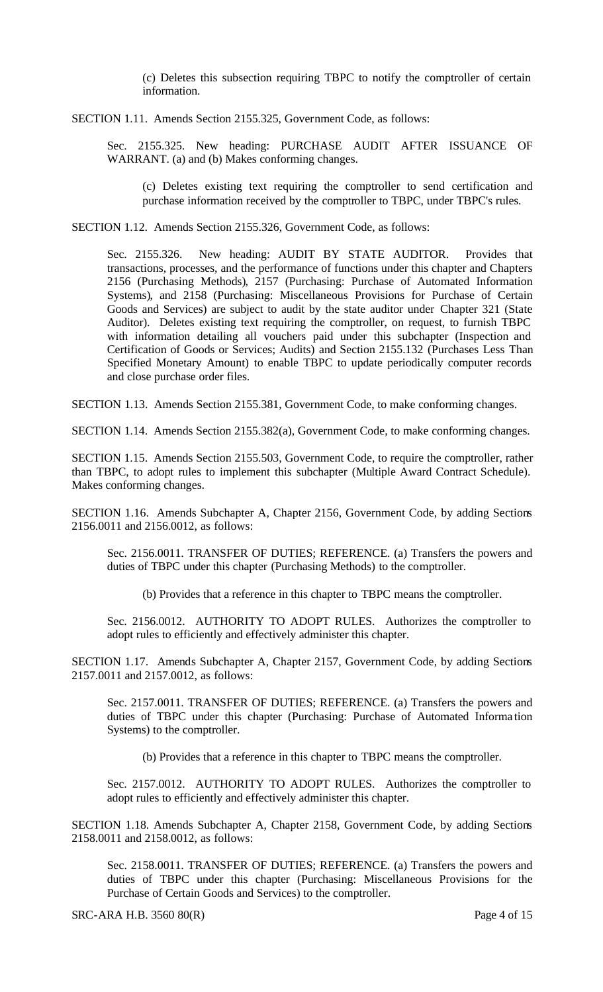(c) Deletes this subsection requiring TBPC to notify the comptroller of certain information.

SECTION 1.11. Amends Section 2155.325, Government Code, as follows:

Sec. 2155.325. New heading: PURCHASE AUDIT AFTER ISSUANCE OF WARRANT. (a) and (b) Makes conforming changes.

(c) Deletes existing text requiring the comptroller to send certification and purchase information received by the comptroller to TBPC, under TBPC's rules.

SECTION 1.12. Amends Section 2155.326, Government Code, as follows:

Sec. 2155.326. New heading: AUDIT BY STATE AUDITOR. Provides that transactions, processes, and the performance of functions under this chapter and Chapters 2156 (Purchasing Methods), 2157 (Purchasing: Purchase of Automated Information Systems), and 2158 (Purchasing: Miscellaneous Provisions for Purchase of Certain Goods and Services) are subject to audit by the state auditor under Chapter 321 (State Auditor). Deletes existing text requiring the comptroller, on request, to furnish TBPC with information detailing all vouchers paid under this subchapter (Inspection and Certification of Goods or Services; Audits) and Section 2155.132 (Purchases Less Than Specified Monetary Amount) to enable TBPC to update periodically computer records and close purchase order files.

SECTION 1.13. Amends Section 2155.381, Government Code, to make conforming changes.

SECTION 1.14. Amends Section 2155.382(a), Government Code, to make conforming changes.

SECTION 1.15. Amends Section 2155.503, Government Code, to require the comptroller, rather than TBPC, to adopt rules to implement this subchapter (Multiple Award Contract Schedule). Makes conforming changes.

SECTION 1.16. Amends Subchapter A, Chapter 2156, Government Code, by adding Sections 2156.0011 and 2156.0012, as follows:

Sec. 2156.0011. TRANSFER OF DUTIES; REFERENCE. (a) Transfers the powers and duties of TBPC under this chapter (Purchasing Methods) to the comptroller.

(b) Provides that a reference in this chapter to TBPC means the comptroller.

Sec. 2156.0012. AUTHORITY TO ADOPT RULES. Authorizes the comptroller to adopt rules to efficiently and effectively administer this chapter.

SECTION 1.17. Amends Subchapter A, Chapter 2157, Government Code, by adding Sections 2157.0011 and 2157.0012, as follows:

Sec. 2157.0011. TRANSFER OF DUTIES; REFERENCE. (a) Transfers the powers and duties of TBPC under this chapter (Purchasing: Purchase of Automated Informa tion Systems) to the comptroller.

(b) Provides that a reference in this chapter to TBPC means the comptroller.

Sec. 2157.0012. AUTHORITY TO ADOPT RULES. Authorizes the comptroller to adopt rules to efficiently and effectively administer this chapter.

SECTION 1.18. Amends Subchapter A, Chapter 2158, Government Code, by adding Sections 2158.0011 and 2158.0012, as follows:

Sec. 2158.0011. TRANSFER OF DUTIES; REFERENCE. (a) Transfers the powers and duties of TBPC under this chapter (Purchasing: Miscellaneous Provisions for the Purchase of Certain Goods and Services) to the comptroller.

SRC-ARA H.B. 3560 80(R) Page 4 of 15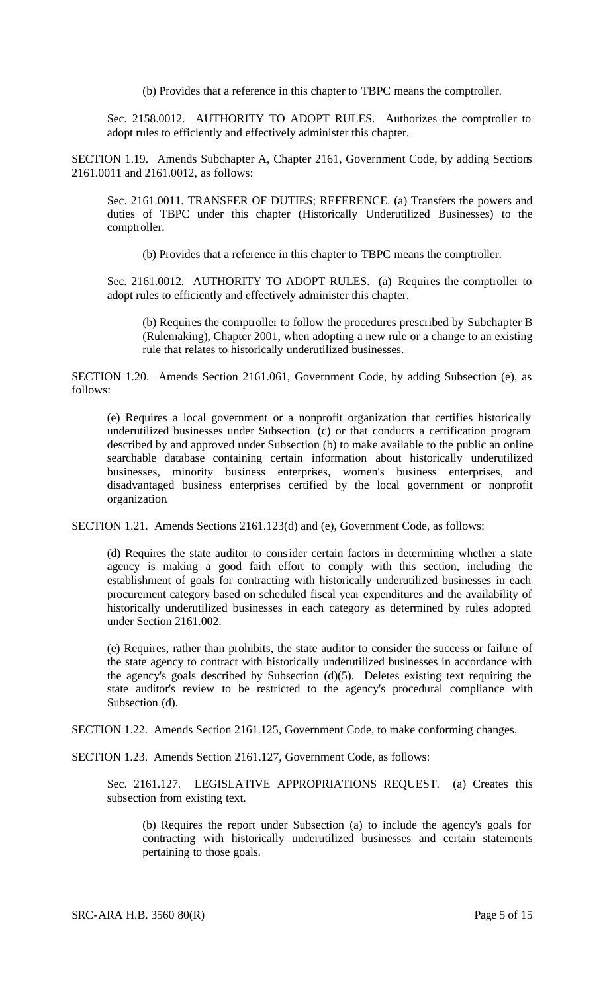(b) Provides that a reference in this chapter to TBPC means the comptroller.

Sec. 2158.0012. AUTHORITY TO ADOPT RULES. Authorizes the comptroller to adopt rules to efficiently and effectively administer this chapter.

SECTION 1.19. Amends Subchapter A, Chapter 2161, Government Code, by adding Sections 2161.0011 and 2161.0012, as follows:

Sec. 2161.0011. TRANSFER OF DUTIES; REFERENCE. (a) Transfers the powers and duties of TBPC under this chapter (Historically Underutilized Businesses) to the comptroller.

(b) Provides that a reference in this chapter to TBPC means the comptroller.

Sec. 2161.0012. AUTHORITY TO ADOPT RULES. (a) Requires the comptroller to adopt rules to efficiently and effectively administer this chapter.

(b) Requires the comptroller to follow the procedures prescribed by Subchapter B (Rulemaking), Chapter 2001, when adopting a new rule or a change to an existing rule that relates to historically underutilized businesses.

SECTION 1.20. Amends Section 2161.061, Government Code, by adding Subsection (e), as follows:

(e) Requires a local government or a nonprofit organization that certifies historically underutilized businesses under Subsection (c) or that conducts a certification program described by and approved under Subsection (b) to make available to the public an online searchable database containing certain information about historically underutilized businesses, minority business enterprises, women's business enterprises, and disadvantaged business enterprises certified by the local government or nonprofit organization.

SECTION 1.21. Amends Sections 2161.123(d) and (e), Government Code, as follows:

(d) Requires the state auditor to consider certain factors in determining whether a state agency is making a good faith effort to comply with this section, including the establishment of goals for contracting with historically underutilized businesses in each procurement category based on scheduled fiscal year expenditures and the availability of historically underutilized businesses in each category as determined by rules adopted under Section 2161.002.

(e) Requires, rather than prohibits, the state auditor to consider the success or failure of the state agency to contract with historically underutilized businesses in accordance with the agency's goals described by Subsection (d)(5). Deletes existing text requiring the state auditor's review to be restricted to the agency's procedural compliance with Subsection (d).

SECTION 1.22. Amends Section 2161.125, Government Code, to make conforming changes.

SECTION 1.23. Amends Section 2161.127, Government Code, as follows:

Sec. 2161.127. LEGISLATIVE APPROPRIATIONS REQUEST. (a) Creates this subsection from existing text.

(b) Requires the report under Subsection (a) to include the agency's goals for contracting with historically underutilized businesses and certain statements pertaining to those goals.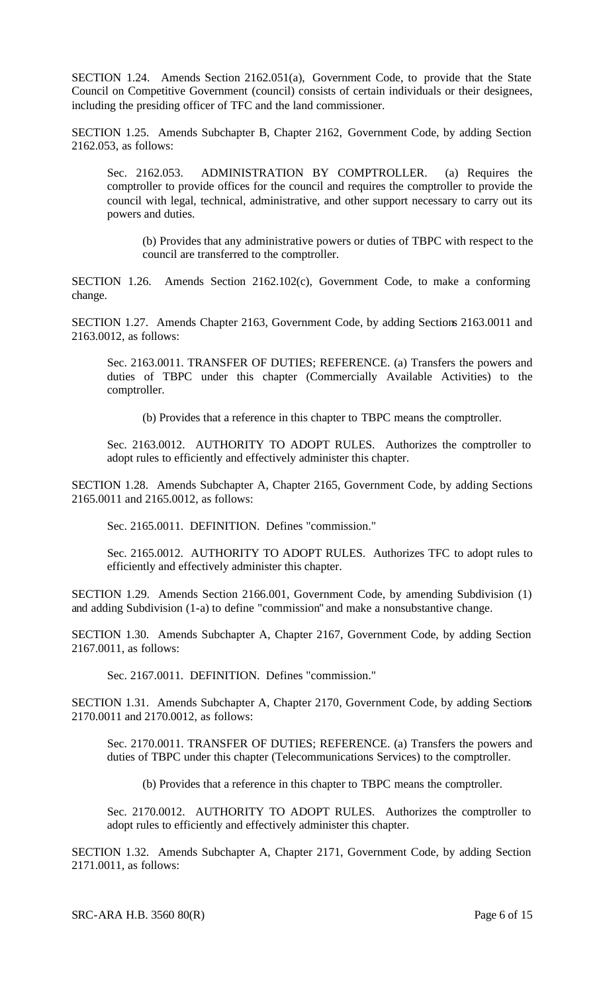SECTION 1.24. Amends Section 2162.051(a), Government Code, to provide that the State Council on Competitive Government (council) consists of certain individuals or their designees, including the presiding officer of TFC and the land commissioner.

SECTION 1.25. Amends Subchapter B, Chapter 2162, Government Code, by adding Section 2162.053, as follows:

Sec. 2162.053. ADMINISTRATION BY COMPTROLLER. (a) Requires the comptroller to provide offices for the council and requires the comptroller to provide the council with legal, technical, administrative, and other support necessary to carry out its powers and duties.

(b) Provides that any administrative powers or duties of TBPC with respect to the council are transferred to the comptroller.

SECTION 1.26. Amends Section 2162.102(c), Government Code, to make a conforming change.

SECTION 1.27. Amends Chapter 2163, Government Code, by adding Sections 2163.0011 and 2163.0012, as follows:

Sec. 2163.0011. TRANSFER OF DUTIES; REFERENCE. (a) Transfers the powers and duties of TBPC under this chapter (Commercially Available Activities) to the comptroller.

(b) Provides that a reference in this chapter to TBPC means the comptroller.

Sec. 2163.0012. AUTHORITY TO ADOPT RULES. Authorizes the comptroller to adopt rules to efficiently and effectively administer this chapter.

SECTION 1.28. Amends Subchapter A, Chapter 2165, Government Code, by adding Sections 2165.0011 and 2165.0012, as follows:

Sec. 2165.0011. DEFINITION. Defines "commission."

Sec. 2165.0012. AUTHORITY TO ADOPT RULES. Authorizes TFC to adopt rules to efficiently and effectively administer this chapter.

SECTION 1.29. Amends Section 2166.001, Government Code, by amending Subdivision (1) and adding Subdivision (1-a) to define "commission" and make a nonsubstantive change.

SECTION 1.30. Amends Subchapter A, Chapter 2167, Government Code, by adding Section 2167.0011, as follows:

Sec. 2167.0011. DEFINITION. Defines "commission."

SECTION 1.31. Amends Subchapter A, Chapter 2170, Government Code, by adding Sections 2170.0011 and 2170.0012, as follows:

Sec. 2170.0011. TRANSFER OF DUTIES; REFERENCE. (a) Transfers the powers and duties of TBPC under this chapter (Telecommunications Services) to the comptroller.

(b) Provides that a reference in this chapter to TBPC means the comptroller.

Sec. 2170.0012. AUTHORITY TO ADOPT RULES. Authorizes the comptroller to adopt rules to efficiently and effectively administer this chapter.

SECTION 1.32. Amends Subchapter A, Chapter 2171, Government Code, by adding Section 2171.0011, as follows:

SRC-ARA H.B. 3560 80(R) Page 6 of 15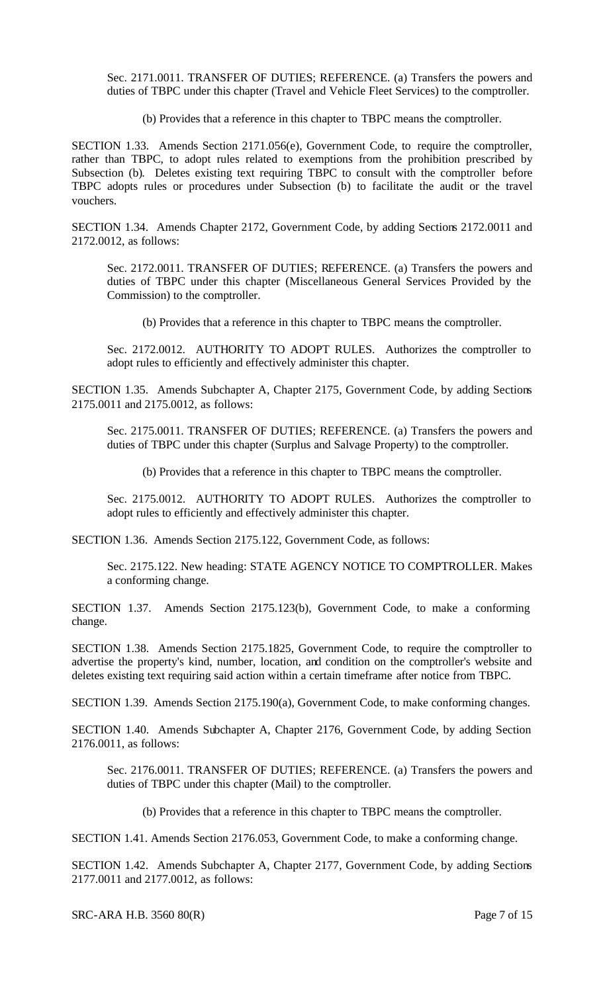Sec. 2171.0011. TRANSFER OF DUTIES; REFERENCE. (a) Transfers the powers and duties of TBPC under this chapter (Travel and Vehicle Fleet Services) to the comptroller.

(b) Provides that a reference in this chapter to TBPC means the comptroller.

SECTION 1.33. Amends Section 2171.056(e), Government Code, to require the comptroller, rather than TBPC, to adopt rules related to exemptions from the prohibition prescribed by Subsection (b). Deletes existing text requiring TBPC to consult with the comptroller before TBPC adopts rules or procedures under Subsection (b) to facilitate the audit or the travel vouchers.

SECTION 1.34. Amends Chapter 2172, Government Code, by adding Sections 2172.0011 and 2172.0012, as follows:

Sec. 2172.0011. TRANSFER OF DUTIES; REFERENCE. (a) Transfers the powers and duties of TBPC under this chapter (Miscellaneous General Services Provided by the Commission) to the comptroller.

(b) Provides that a reference in this chapter to TBPC means the comptroller.

Sec. 2172.0012. AUTHORITY TO ADOPT RULES. Authorizes the comptroller to adopt rules to efficiently and effectively administer this chapter.

SECTION 1.35. Amends Subchapter A, Chapter 2175, Government Code, by adding Sections 2175.0011 and 2175.0012, as follows:

Sec. 2175.0011. TRANSFER OF DUTIES; REFERENCE. (a) Transfers the powers and duties of TBPC under this chapter (Surplus and Salvage Property) to the comptroller.

(b) Provides that a reference in this chapter to TBPC means the comptroller.

Sec. 2175.0012. AUTHORITY TO ADOPT RULES. Authorizes the comptroller to adopt rules to efficiently and effectively administer this chapter.

SECTION 1.36. Amends Section 2175.122, Government Code, as follows:

Sec. 2175.122. New heading: STATE AGENCY NOTICE TO COMPTROLLER. Makes a conforming change.

SECTION 1.37. Amends Section 2175.123(b), Government Code, to make a conforming change.

SECTION 1.38. Amends Section 2175.1825, Government Code, to require the comptroller to advertise the property's kind, number, location, and condition on the comptroller's website and deletes existing text requiring said action within a certain timeframe after notice from TBPC.

SECTION 1.39. Amends Section 2175.190(a), Government Code, to make conforming changes.

SECTION 1.40. Amends Subchapter A, Chapter 2176, Government Code, by adding Section 2176.0011, as follows:

Sec. 2176.0011. TRANSFER OF DUTIES; REFERENCE. (a) Transfers the powers and duties of TBPC under this chapter (Mail) to the comptroller.

(b) Provides that a reference in this chapter to TBPC means the comptroller.

SECTION 1.41. Amends Section 2176.053, Government Code, to make a conforming change.

SECTION 1.42. Amends Subchapter A, Chapter 2177, Government Code, by adding Sections 2177.0011 and 2177.0012, as follows:

SRC-ARA H.B. 3560 80(R) Page 7 of 15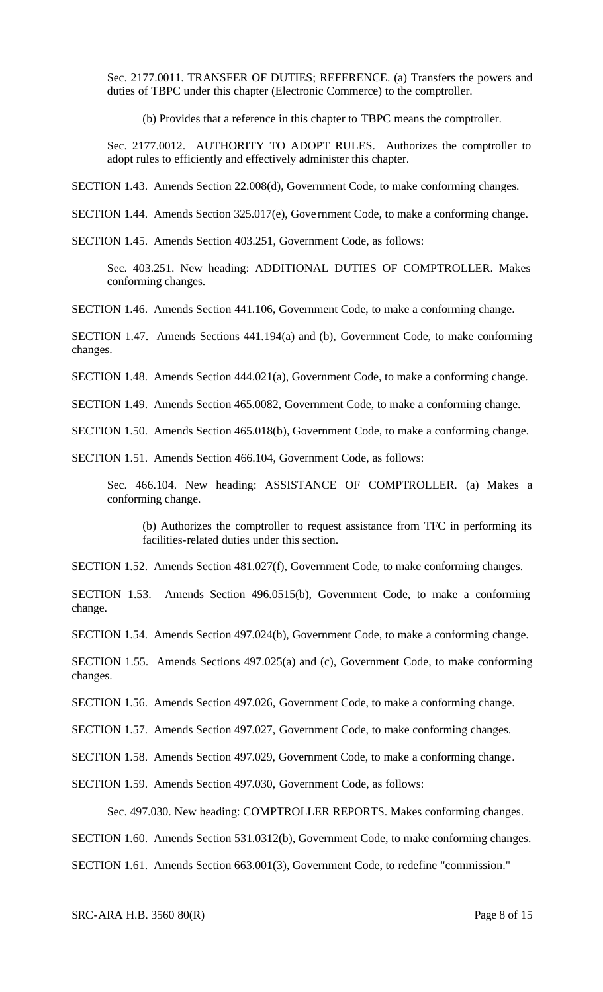Sec. 2177.0011. TRANSFER OF DUTIES; REFERENCE. (a) Transfers the powers and duties of TBPC under this chapter (Electronic Commerce) to the comptroller.

(b) Provides that a reference in this chapter to TBPC means the comptroller.

Sec. 2177.0012. AUTHORITY TO ADOPT RULES. Authorizes the comptroller to adopt rules to efficiently and effectively administer this chapter.

SECTION 1.43. Amends Section 22.008(d), Government Code, to make conforming changes.

SECTION 1.44. Amends Section 325.017(e), Gove rnment Code, to make a conforming change.

SECTION 1.45. Amends Section 403.251, Government Code, as follows:

Sec. 403.251. New heading: ADDITIONAL DUTIES OF COMPTROLLER. Makes conforming changes.

SECTION 1.46. Amends Section 441.106, Government Code, to make a conforming change.

SECTION 1.47. Amends Sections 441.194(a) and (b), Government Code, to make conforming changes.

SECTION 1.48. Amends Section 444.021(a), Government Code, to make a conforming change.

SECTION 1.49. Amends Section 465.0082, Government Code, to make a conforming change.

SECTION 1.50. Amends Section 465.018(b), Government Code, to make a conforming change.

SECTION 1.51. Amends Section 466.104, Government Code, as follows:

Sec. 466.104. New heading: ASSISTANCE OF COMPTROLLER. (a) Makes a conforming change.

(b) Authorizes the comptroller to request assistance from TFC in performing its facilities-related duties under this section.

SECTION 1.52. Amends Section 481.027(f), Government Code, to make conforming changes.

SECTION 1.53. Amends Section 496.0515(b), Government Code, to make a conforming change.

SECTION 1.54. Amends Section 497.024(b), Government Code, to make a conforming change.

SECTION 1.55. Amends Sections 497.025(a) and (c), Government Code, to make conforming changes.

SECTION 1.56. Amends Section 497.026, Government Code, to make a conforming change.

SECTION 1.57. Amends Section 497.027, Government Code, to make conforming changes.

SECTION 1.58. Amends Section 497.029, Government Code, to make a conforming change.

SECTION 1.59. Amends Section 497.030, Government Code, as follows:

Sec. 497.030. New heading: COMPTROLLER REPORTS. Makes conforming changes.

SECTION 1.60. Amends Section 531.0312(b), Government Code, to make conforming changes.

SECTION 1.61. Amends Section 663.001(3), Government Code, to redefine "commission."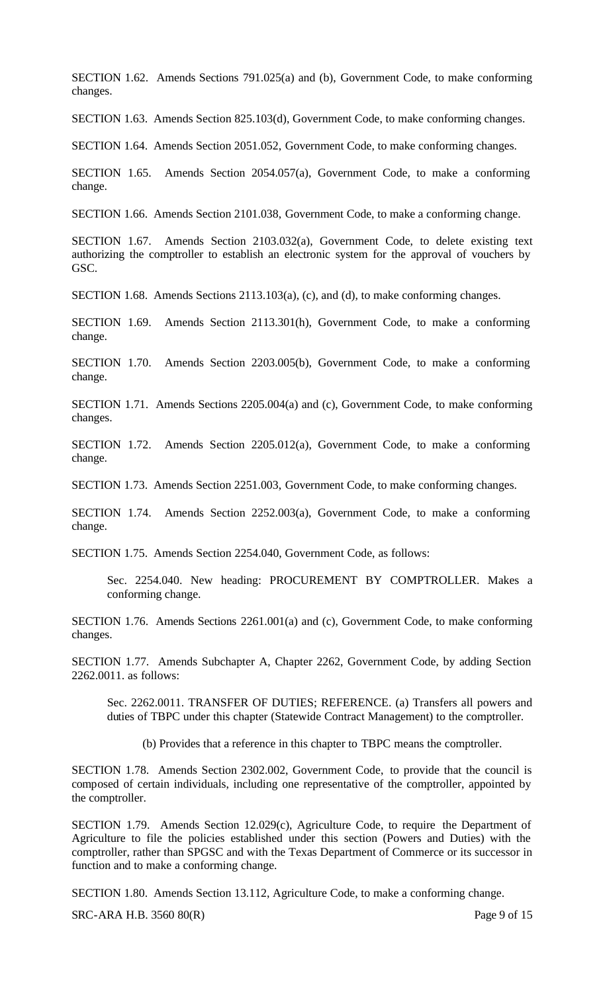SECTION 1.62. Amends Sections 791.025(a) and (b), Government Code, to make conforming changes.

SECTION 1.63. Amends Section 825.103(d), Government Code, to make conforming changes.

SECTION 1.64. Amends Section 2051.052, Government Code, to make conforming changes.

SECTION 1.65. Amends Section 2054.057(a), Government Code, to make a conforming change.

SECTION 1.66. Amends Section 2101.038, Government Code, to make a conforming change.

SECTION 1.67. Amends Section 2103.032(a), Government Code, to delete existing text authorizing the comptroller to establish an electronic system for the approval of vouchers by GSC.

SECTION 1.68. Amends Sections 2113.103(a), (c), and (d), to make conforming changes.

SECTION 1.69. Amends Section 2113.301(h), Government Code, to make a conforming change.

SECTION 1.70. Amends Section 2203.005(b), Government Code, to make a conforming change.

SECTION 1.71. Amends Sections 2205.004(a) and (c), Government Code, to make conforming changes.

SECTION 1.72. Amends Section 2205.012(a), Government Code, to make a conforming change.

SECTION 1.73. Amends Section 2251.003, Government Code, to make conforming changes.

SECTION 1.74. Amends Section 2252.003(a), Government Code, to make a conforming change.

SECTION 1.75. Amends Section 2254.040, Government Code, as follows:

Sec. 2254.040. New heading: PROCUREMENT BY COMPTROLLER. Makes a conforming change.

SECTION 1.76. Amends Sections 2261.001(a) and (c), Government Code, to make conforming changes.

SECTION 1.77. Amends Subchapter A, Chapter 2262, Government Code, by adding Section 2262.0011. as follows:

Sec. 2262.0011. TRANSFER OF DUTIES; REFERENCE. (a) Transfers all powers and duties of TBPC under this chapter (Statewide Contract Management) to the comptroller.

(b) Provides that a reference in this chapter to TBPC means the comptroller.

SECTION 1.78. Amends Section 2302.002, Government Code, to provide that the council is composed of certain individuals, including one representative of the comptroller, appointed by the comptroller.

SECTION 1.79. Amends Section 12.029(c), Agriculture Code, to require the Department of Agriculture to file the policies established under this section (Powers and Duties) with the comptroller, rather than SPGSC and with the Texas Department of Commerce or its successor in function and to make a conforming change.

SECTION 1.80. Amends Section 13.112, Agriculture Code, to make a conforming change.

SRC-ARA H.B. 3560 80(R) Page 9 of 15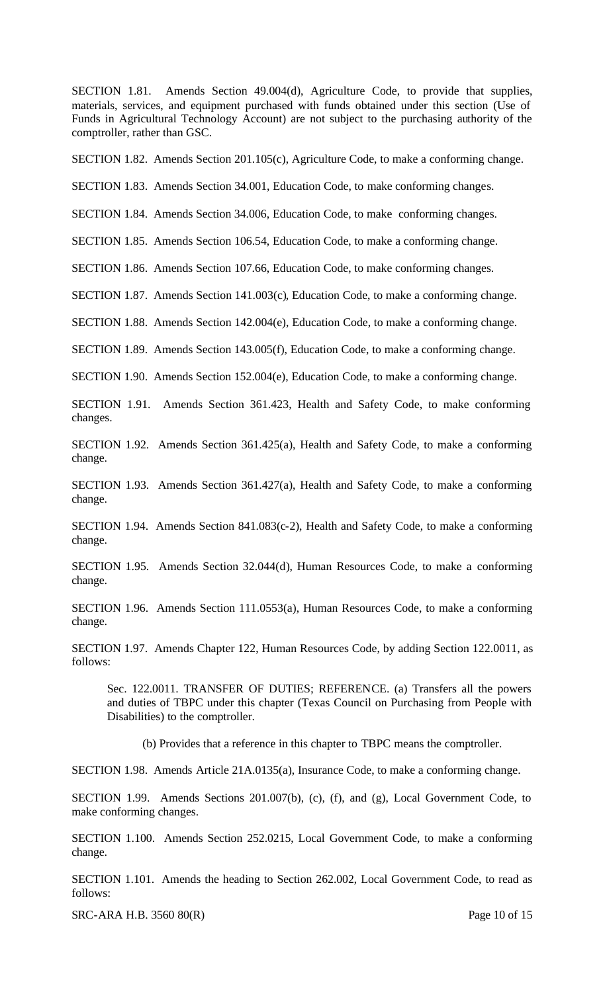SECTION 1.81. Amends Section 49.004(d), Agriculture Code, to provide that supplies, materials, services, and equipment purchased with funds obtained under this section (Use of Funds in Agricultural Technology Account) are not subject to the purchasing authority of the comptroller, rather than GSC.

SECTION 1.82. Amends Section 201.105(c), Agriculture Code, to make a conforming change.

SECTION 1.83. Amends Section 34.001, Education Code, to make conforming changes.

SECTION 1.84. Amends Section 34.006, Education Code, to make conforming changes.

SECTION 1.85. Amends Section 106.54, Education Code, to make a conforming change.

SECTION 1.86. Amends Section 107.66, Education Code, to make conforming changes.

SECTION 1.87. Amends Section 141.003(c), Education Code, to make a conforming change.

SECTION 1.88. Amends Section 142.004(e), Education Code, to make a conforming change.

SECTION 1.89. Amends Section 143.005(f), Education Code, to make a conforming change.

SECTION 1.90. Amends Section 152.004(e), Education Code, to make a conforming change.

SECTION 1.91. Amends Section 361.423, Health and Safety Code, to make conforming changes.

SECTION 1.92. Amends Section 361.425(a), Health and Safety Code, to make a conforming change.

SECTION 1.93. Amends Section 361.427(a), Health and Safety Code, to make a conforming change.

SECTION 1.94. Amends Section 841.083(c-2), Health and Safety Code, to make a conforming change.

SECTION 1.95. Amends Section 32.044(d), Human Resources Code, to make a conforming change.

SECTION 1.96. Amends Section 111.0553(a), Human Resources Code, to make a conforming change.

SECTION 1.97. Amends Chapter 122, Human Resources Code, by adding Section 122.0011, as follows:

Sec. 122.0011. TRANSFER OF DUTIES; REFERENCE. (a) Transfers all the powers and duties of TBPC under this chapter (Texas Council on Purchasing from People with Disabilities) to the comptroller.

(b) Provides that a reference in this chapter to TBPC means the comptroller.

SECTION 1.98. Amends Article 21A.0135(a), Insurance Code, to make a conforming change.

SECTION 1.99. Amends Sections 201.007(b), (c), (f), and (g), Local Government Code, to make conforming changes.

SECTION 1.100. Amends Section 252.0215, Local Government Code, to make a conforming change.

SECTION 1.101. Amends the heading to Section 262.002, Local Government Code, to read as follows:

SRC-ARA H.B. 3560 80(R) Page 10 of 15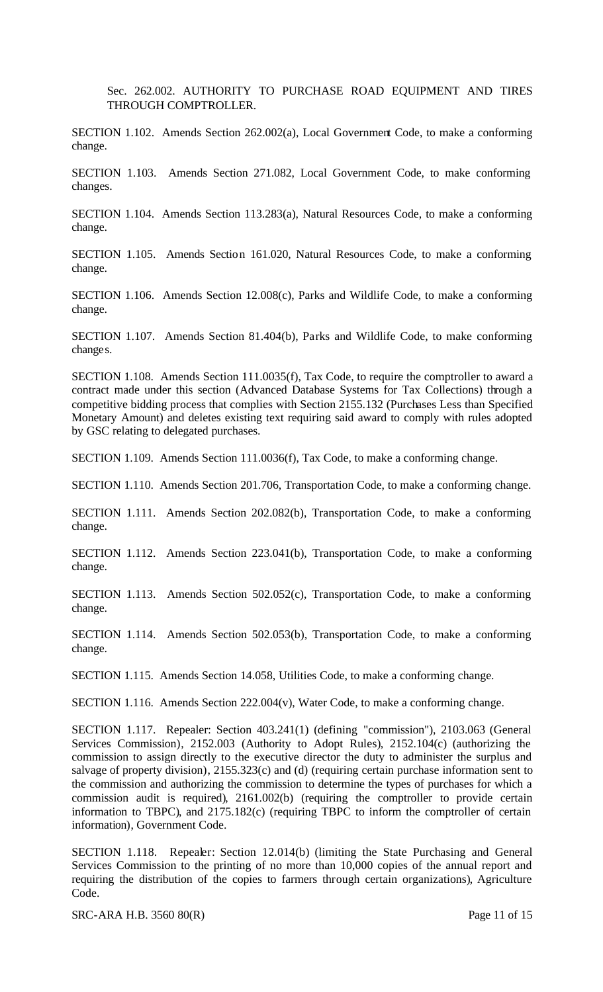Sec. 262.002. AUTHORITY TO PURCHASE ROAD EQUIPMENT AND TIRES THROUGH COMPTROLLER.

SECTION 1.102. Amends Section 262.002(a), Local Government Code, to make a conforming change.

SECTION 1.103. Amends Section 271.082, Local Government Code, to make conforming changes.

SECTION 1.104. Amends Section 113.283(a), Natural Resources Code, to make a conforming change.

SECTION 1.105. Amends Section 161.020, Natural Resources Code, to make a conforming change.

SECTION 1.106. Amends Section 12.008(c), Parks and Wildlife Code, to make a conforming change.

SECTION 1.107. Amends Section 81.404(b), Parks and Wildlife Code, to make conforming changes.

SECTION 1.108. Amends Section 111.0035(f), Tax Code, to require the comptroller to award a contract made under this section (Advanced Database Systems for Tax Collections) through a competitive bidding process that complies with Section 2155.132 (Purchases Less than Specified Monetary Amount) and deletes existing text requiring said award to comply with rules adopted by GSC relating to delegated purchases.

SECTION 1.109. Amends Section 111.0036(f), Tax Code, to make a conforming change.

SECTION 1.110. Amends Section 201.706, Transportation Code, to make a conforming change.

SECTION 1.111. Amends Section 202.082(b), Transportation Code, to make a conforming change.

SECTION 1.112. Amends Section 223.041(b), Transportation Code, to make a conforming change.

SECTION 1.113. Amends Section 502.052(c), Transportation Code, to make a conforming change.

SECTION 1.114. Amends Section 502.053(b), Transportation Code, to make a conforming change.

SECTION 1.115. Amends Section 14.058, Utilities Code, to make a conforming change.

SECTION 1.116. Amends Section 222.004(v), Water Code, to make a conforming change.

SECTION 1.117. Repealer: Section 403.241(1) (defining "commission"), 2103.063 (General Services Commission), 2152.003 (Authority to Adopt Rules), 2152.104(c) (authorizing the commission to assign directly to the executive director the duty to administer the surplus and salvage of property division), 2155.323(c) and (d) (requiring certain purchase information sent to the commission and authorizing the commission to determine the types of purchases for which a commission audit is required), 2161.002(b) (requiring the comptroller to provide certain information to TBPC), and 2175.182(c) (requiring TBPC to inform the comptroller of certain information), Government Code.

SECTION 1.118. Repealer: Section 12.014(b) (limiting the State Purchasing and General Services Commission to the printing of no more than 10,000 copies of the annual report and requiring the distribution of the copies to farmers through certain organizations), Agriculture Code.

SRC-ARA H.B. 3560 80(R) Page 11 of 15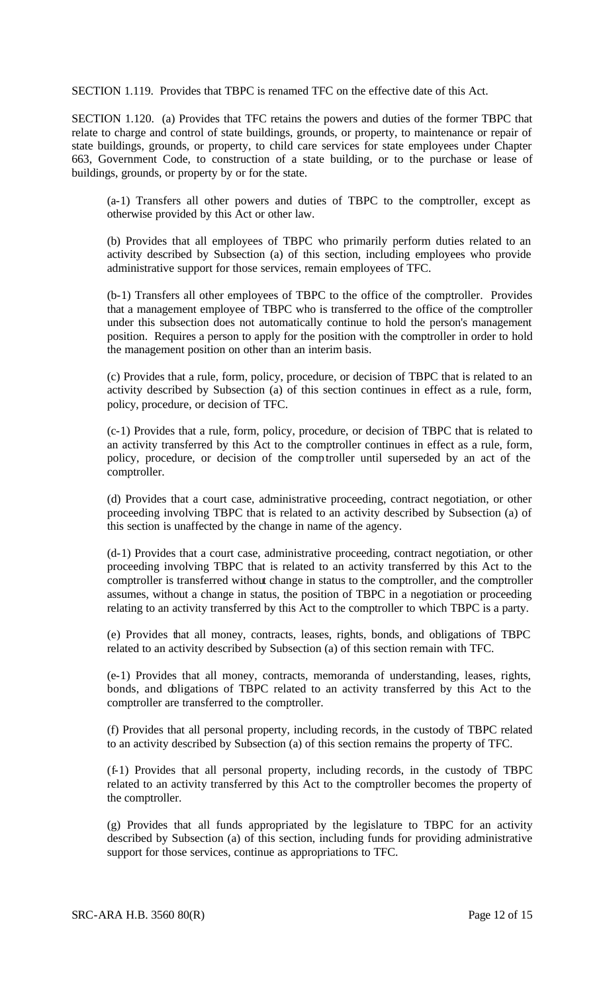SECTION 1.119. Provides that TBPC is renamed TFC on the effective date of this Act.

SECTION 1.120. (a) Provides that TFC retains the powers and duties of the former TBPC that relate to charge and control of state buildings, grounds, or property, to maintenance or repair of state buildings, grounds, or property, to child care services for state employees under Chapter 663, Government Code, to construction of a state building, or to the purchase or lease of buildings, grounds, or property by or for the state.

(a-1) Transfers all other powers and duties of TBPC to the comptroller, except as otherwise provided by this Act or other law.

(b) Provides that all employees of TBPC who primarily perform duties related to an activity described by Subsection (a) of this section, including employees who provide administrative support for those services, remain employees of TFC.

(b-1) Transfers all other employees of TBPC to the office of the comptroller. Provides that a management employee of TBPC who is transferred to the office of the comptroller under this subsection does not automatically continue to hold the person's management position. Requires a person to apply for the position with the comptroller in order to hold the management position on other than an interim basis.

(c) Provides that a rule, form, policy, procedure, or decision of TBPC that is related to an activity described by Subsection (a) of this section continues in effect as a rule, form, policy, procedure, or decision of TFC.

(c-1) Provides that a rule, form, policy, procedure, or decision of TBPC that is related to an activity transferred by this Act to the comptroller continues in effect as a rule, form, policy, procedure, or decision of the comptroller until superseded by an act of the comptroller.

(d) Provides that a court case, administrative proceeding, contract negotiation, or other proceeding involving TBPC that is related to an activity described by Subsection (a) of this section is unaffected by the change in name of the agency.

(d-1) Provides that a court case, administrative proceeding, contract negotiation, or other proceeding involving TBPC that is related to an activity transferred by this Act to the comptroller is transferred without change in status to the comptroller, and the comptroller assumes, without a change in status, the position of TBPC in a negotiation or proceeding relating to an activity transferred by this Act to the comptroller to which TBPC is a party.

(e) Provides that all money, contracts, leases, rights, bonds, and obligations of TBPC related to an activity described by Subsection (a) of this section remain with TFC.

(e-1) Provides that all money, contracts, memoranda of understanding, leases, rights, bonds, and obligations of TBPC related to an activity transferred by this Act to the comptroller are transferred to the comptroller.

(f) Provides that all personal property, including records, in the custody of TBPC related to an activity described by Subsection (a) of this section remains the property of TFC.

(f-1) Provides that all personal property, including records, in the custody of TBPC related to an activity transferred by this Act to the comptroller becomes the property of the comptroller.

(g) Provides that all funds appropriated by the legislature to TBPC for an activity described by Subsection (a) of this section, including funds for providing administrative support for those services, continue as appropriations to TFC.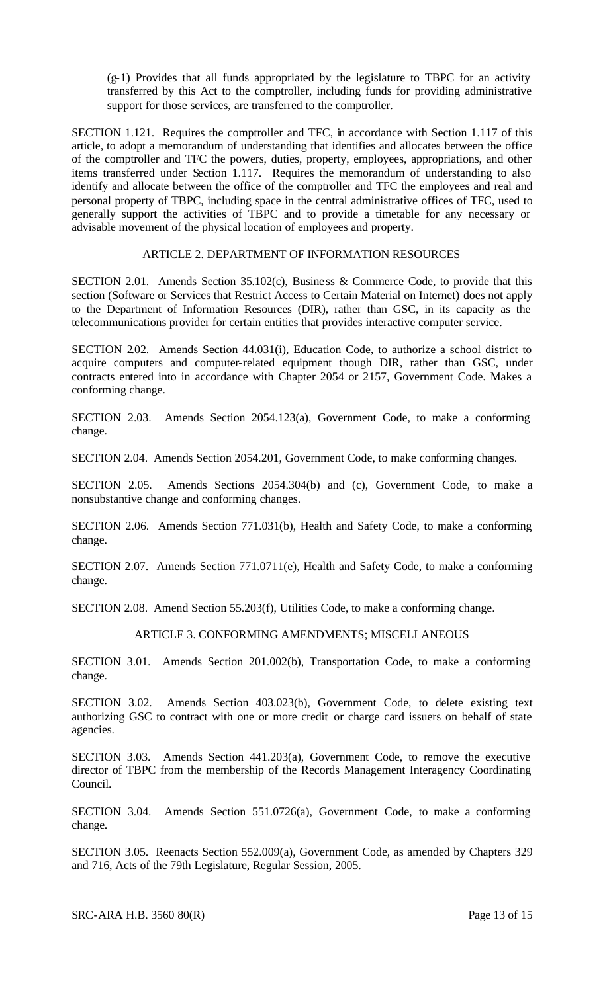(g-1) Provides that all funds appropriated by the legislature to TBPC for an activity transferred by this Act to the comptroller, including funds for providing administrative support for those services, are transferred to the comptroller.

SECTION 1.121. Requires the comptroller and TFC, in accordance with Section 1.117 of this article, to adopt a memorandum of understanding that identifies and allocates between the office of the comptroller and TFC the powers, duties, property, employees, appropriations, and other items transferred under Section 1.117. Requires the memorandum of understanding to also identify and allocate between the office of the comptroller and TFC the employees and real and personal property of TBPC, including space in the central administrative offices of TFC, used to generally support the activities of TBPC and to provide a timetable for any necessary or advisable movement of the physical location of employees and property.

#### ARTICLE 2. DEPARTMENT OF INFORMATION RESOURCES

SECTION 2.01. Amends Section 35.102(c), Busine ss & Commerce Code, to provide that this section (Software or Services that Restrict Access to Certain Material on Internet) does not apply to the Department of Information Resources (DIR), rather than GSC, in its capacity as the telecommunications provider for certain entities that provides interactive computer service.

SECTION 2.02. Amends Section 44.031(i), Education Code, to authorize a school district to acquire computers and computer-related equipment though DIR, rather than GSC, under contracts entered into in accordance with Chapter 2054 or 2157, Government Code. Makes a conforming change.

SECTION 2.03. Amends Section 2054.123(a), Government Code, to make a conforming change.

SECTION 2.04. Amends Section 2054.201, Government Code, to make conforming changes.

SECTION 2.05. Amends Sections 2054.304(b) and (c), Government Code, to make a nonsubstantive change and conforming changes.

SECTION 2.06. Amends Section 771.031(b), Health and Safety Code, to make a conforming change.

SECTION 2.07. Amends Section 771.0711(e), Health and Safety Code, to make a conforming change.

SECTION 2.08. Amend Section 55.203(f), Utilities Code, to make a conforming change.

### ARTICLE 3. CONFORMING AMENDMENTS; MISCELLANEOUS

SECTION 3.01. Amends Section 201.002(b), Transportation Code, to make a conforming change.

SECTION 3.02. Amends Section 403.023(b), Government Code, to delete existing text authorizing GSC to contract with one or more credit or charge card issuers on behalf of state agencies.

SECTION 3.03. Amends Section 441.203(a), Government Code, to remove the executive director of TBPC from the membership of the Records Management Interagency Coordinating Council.

SECTION 3.04. Amends Section 551.0726(a), Government Code, to make a conforming change.

SECTION 3.05. Reenacts Section 552.009(a), Government Code, as amended by Chapters 329 and 716, Acts of the 79th Legislature, Regular Session, 2005.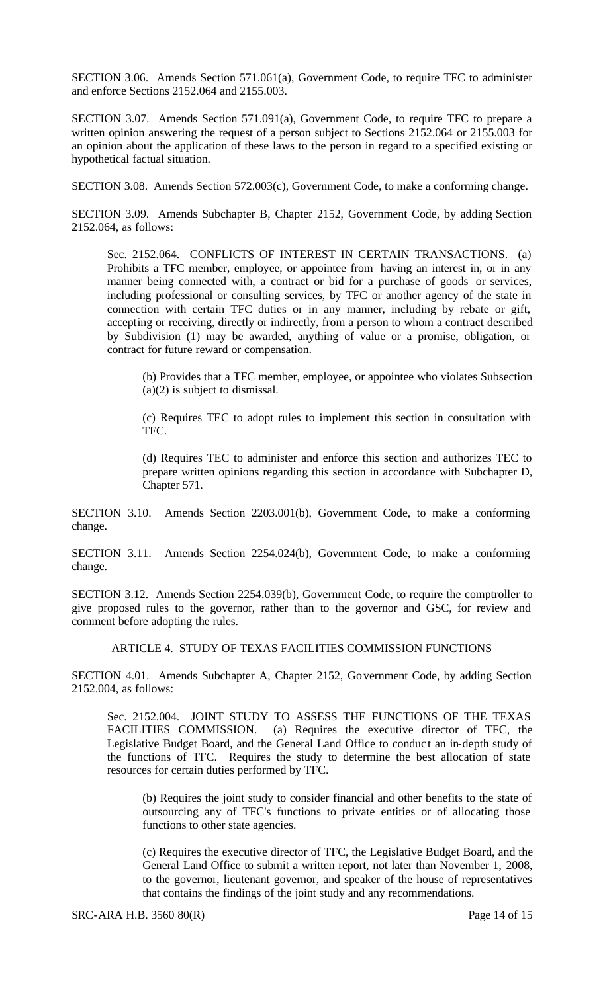SECTION 3.06. Amends Section 571.061(a), Government Code, to require TFC to administer and enforce Sections 2152.064 and 2155.003.

SECTION 3.07. Amends Section 571.091(a), Government Code, to require TFC to prepare a written opinion answering the request of a person subject to Sections 2152.064 or 2155.003 for an opinion about the application of these laws to the person in regard to a specified existing or hypothetical factual situation.

SECTION 3.08. Amends Section 572.003(c), Government Code, to make a conforming change.

SECTION 3.09. Amends Subchapter B, Chapter 2152, Government Code, by adding Section 2152.064, as follows:

Sec. 2152.064. CONFLICTS OF INTEREST IN CERTAIN TRANSACTIONS. (a) Prohibits a TFC member, employee, or appointee from having an interest in, or in any manner being connected with, a contract or bid for a purchase of goods or services, including professional or consulting services, by TFC or another agency of the state in connection with certain TFC duties or in any manner, including by rebate or gift, accepting or receiving, directly or indirectly, from a person to whom a contract described by Subdivision (1) may be awarded, anything of value or a promise, obligation, or contract for future reward or compensation.

(b) Provides that a TFC member, employee, or appointee who violates Subsection (a)(2) is subject to dismissal.

(c) Requires TEC to adopt rules to implement this section in consultation with TFC.

(d) Requires TEC to administer and enforce this section and authorizes TEC to prepare written opinions regarding this section in accordance with Subchapter D, Chapter 571.

SECTION 3.10. Amends Section 2203.001(b), Government Code, to make a conforming change.

SECTION 3.11. Amends Section 2254.024(b), Government Code, to make a conforming change.

SECTION 3.12. Amends Section 2254.039(b), Government Code, to require the comptroller to give proposed rules to the governor, rather than to the governor and GSC, for review and comment before adopting the rules.

ARTICLE 4. STUDY OF TEXAS FACILITIES COMMISSION FUNCTIONS

SECTION 4.01. Amends Subchapter A, Chapter 2152, Government Code, by adding Section 2152.004, as follows:

Sec. 2152.004. JOINT STUDY TO ASSESS THE FUNCTIONS OF THE TEXAS FACILITIES COMMISSION. (a) Requires the executive director of TFC, the Legislative Budget Board, and the General Land Office to conduc t an in-depth study of the functions of TFC. Requires the study to determine the best allocation of state resources for certain duties performed by TFC.

(b) Requires the joint study to consider financial and other benefits to the state of outsourcing any of TFC's functions to private entities or of allocating those functions to other state agencies.

(c) Requires the executive director of TFC, the Legislative Budget Board, and the General Land Office to submit a written report, not later than November 1, 2008, to the governor, lieutenant governor, and speaker of the house of representatives that contains the findings of the joint study and any recommendations.